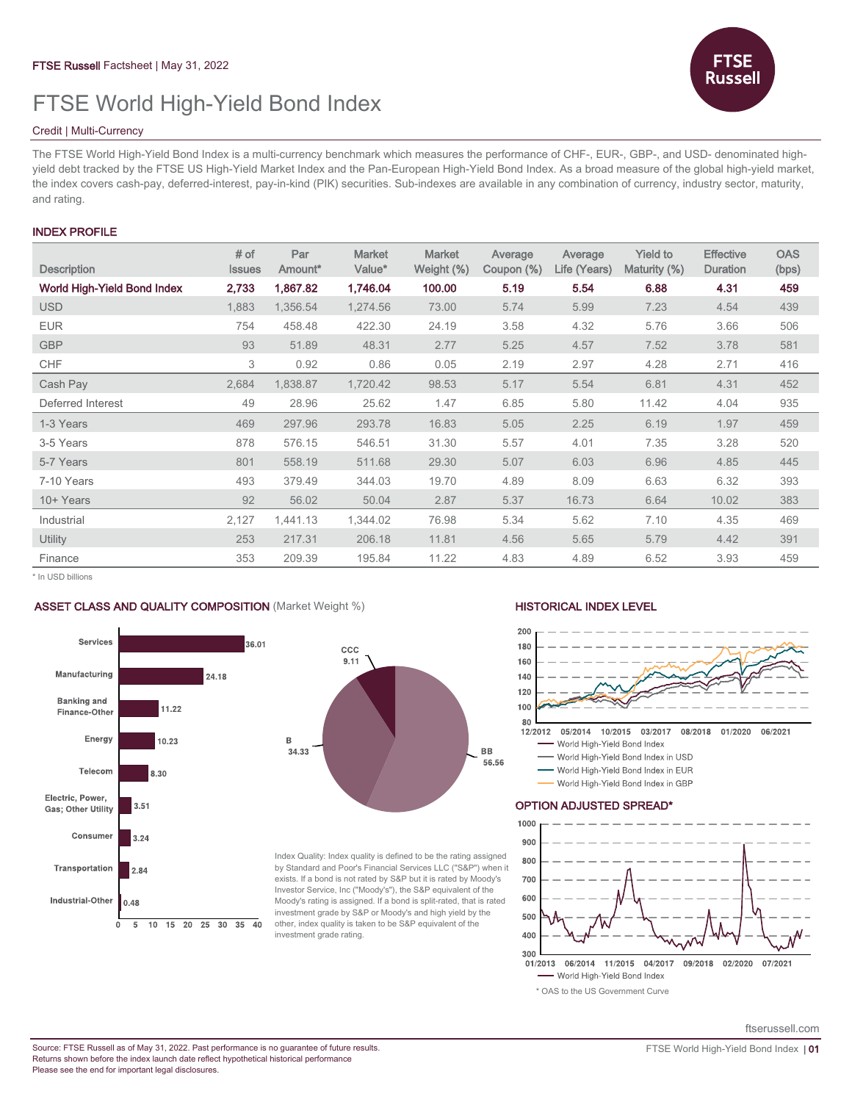# FTSE World High-Yield Bond Index



## Credit | Multi-Currency

The FTSE World High-Yield Bond Index is a multi-currency benchmark which measures the performance of CHF-, EUR-, GBP-, and USD- denominated highyield debt tracked by the FTSE US High-Yield Market Index and the Pan-European High-Yield Bond Index. As a broad measure of the global high-yield market, the index covers cash-pay, deferred-interest, pay-in-kind (PIK) securities. Sub-indexes are available in any combination of currency, industry sector, maturity, and rating.

## INDEX PROFILE

| <b>Description</b>          | # of<br><b>Issues</b> | Par<br>Amount* | <b>Market</b><br>Value* | <b>Market</b><br>Weight (%) | Average<br>Coupon (%) | Average<br>Life (Years) | <b>Yield to</b><br>Maturity (%) | <b>Effective</b><br><b>Duration</b> | <b>OAS</b><br>(bps) |
|-----------------------------|-----------------------|----------------|-------------------------|-----------------------------|-----------------------|-------------------------|---------------------------------|-------------------------------------|---------------------|
| World High-Yield Bond Index | 2,733                 | 1,867.82       | 1,746.04                | 100.00                      | 5.19                  | 5.54                    | 6.88                            | 4.31                                | 459                 |
| <b>USD</b>                  | 1,883                 | 1,356.54       | 1,274.56                | 73.00                       | 5.74                  | 5.99                    | 7.23                            | 4.54                                | 439                 |
| <b>EUR</b>                  | 754                   | 458.48         | 422.30                  | 24.19                       | 3.58                  | 4.32                    | 5.76                            | 3.66                                | 506                 |
| <b>GBP</b>                  | 93                    | 51.89          | 48.31                   | 2.77                        | 5.25                  | 4.57                    | 7.52                            | 3.78                                | 581                 |
| <b>CHF</b>                  | 3                     | 0.92           | 0.86                    | 0.05                        | 2.19                  | 2.97                    | 4.28                            | 2.71                                | 416                 |
| Cash Pay                    | 2,684                 | 1,838.87       | 1,720.42                | 98.53                       | 5.17                  | 5.54                    | 6.81                            | 4.31                                | 452                 |
| Deferred Interest           | 49                    | 28.96          | 25.62                   | 1.47                        | 6.85                  | 5.80                    | 11.42                           | 4.04                                | 935                 |
| 1-3 Years                   | 469                   | 297.96         | 293.78                  | 16.83                       | 5.05                  | 2.25                    | 6.19                            | 1.97                                | 459                 |
| 3-5 Years                   | 878                   | 576.15         | 546.51                  | 31.30                       | 5.57                  | 4.01                    | 7.35                            | 3.28                                | 520                 |
| 5-7 Years                   | 801                   | 558.19         | 511.68                  | 29.30                       | 5.07                  | 6.03                    | 6.96                            | 4.85                                | 445                 |
| 7-10 Years                  | 493                   | 379.49         | 344.03                  | 19.70                       | 4.89                  | 8.09                    | 6.63                            | 6.32                                | 393                 |
| 10+ Years                   | 92                    | 56.02          | 50.04                   | 2.87                        | 5.37                  | 16.73                   | 6.64                            | 10.02                               | 383                 |
| Industrial                  | 2,127                 | 1,441.13       | 1,344.02                | 76.98                       | 5.34                  | 5.62                    | 7.10                            | 4.35                                | 469                 |
| Utility                     | 253                   | 217.31         | 206.18                  | 11.81                       | 4.56                  | 5.65                    | 5.79                            | 4.42                                | 391                 |
| Finance                     | 353                   | 209.39         | 195.84                  | 11.22                       | 4.83                  | 4.89                    | 6.52                            | 3.93                                | 459                 |

\* In USD billions

# ASSET CLASS AND QUALITY COMPOSITION (Market Weight %) HISTORICAL INDEX LEVEL





Index Quality: Index quality is defined to be the rating assigned by Standard and Poor's Financial Services LLC ("S&P") when it exists. If a bond is not rated by S&P but it is rated by Moody's Investor Service, Inc ("Moody's"), the S&P equivalent of the Moody's rating is assigned. If a bond is split-rated, that is rated investment grade by S&P or Moody's and high yield by the other, index quality is taken to be S&P equivalent of the investment grade rating.



### OPTION ADJUSTED SPREAD\*



ftserussell.com